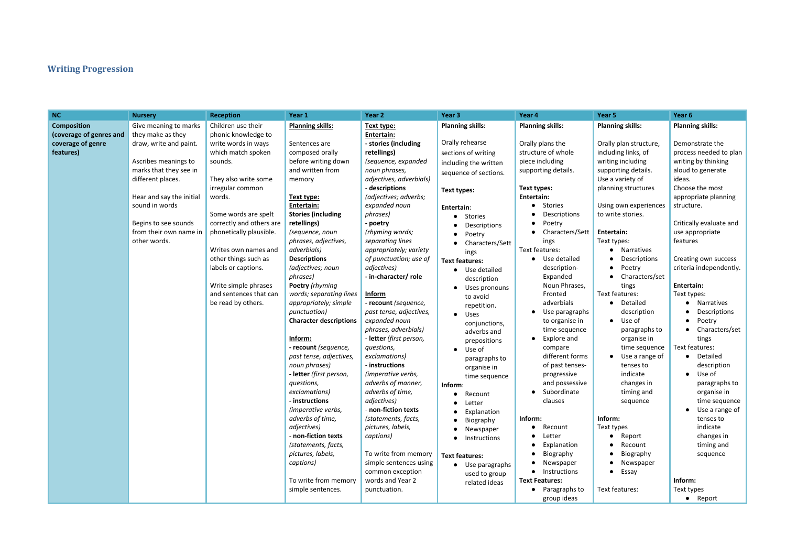# **Writing Progression**

| <b>NC</b>               | <b>Nursery</b>           | <b>Reception</b>         | Year 1                        | Year 2                         | Year 3                  | Year 4                      | Year 5                  | Year <sub>6</sub> |
|-------------------------|--------------------------|--------------------------|-------------------------------|--------------------------------|-------------------------|-----------------------------|-------------------------|-------------------|
| <b>Composition</b>      | Give meaning to marks    | Children use their       | <b>Planning skills:</b>       | Text type:                     | <b>Planning skills:</b> | <b>Planning skills:</b>     | <b>Planning skills:</b> | Planni            |
| (coverage of genres and | they make as they        | phonic knowledge to      |                               | Entertain:                     |                         |                             |                         |                   |
| coverage of genre       | draw, write and paint.   | write words in ways      | Sentences are                 | - stories (including           | Orally rehearse         | Orally plans the            | Orally plan structure,  | Demo              |
| features)               |                          | which match spoken       | composed orally               | retellings)                    | sections of writing     | structure of whole          | including links, of     | proces            |
|                         | Ascribes meanings to     | sounds.                  | before writing down           | (sequence, expanded            | including the written   | piece including             | writing including       | writing           |
|                         | marks that they see in   |                          | and written from              | noun phrases,                  | sequence of sections.   | supporting details.         | supporting details.     | aloud             |
|                         | different places.        | They also write some     | memory                        | adjectives, adverbials)        |                         |                             | Use a variety of        | ideas.            |
|                         |                          | irregular common         |                               | - descriptions                 | Text types:             | Text types:                 | planning structures     | Choos             |
|                         | Hear and say the initial | words.                   | Text type:                    | (adjectives; adverbs;          |                         | Entertain:                  |                         | appro             |
|                         | sound in words           |                          | Entertain:                    | expanded noun                  | Entertain:              | Stories<br>$\bullet$        | Using own experiences   | struct            |
|                         |                          | Some words are spelt     | <b>Stories (including</b>     | phrases)                       | Stories                 | Descriptions                | to write stories.       |                   |
|                         | Begins to see sounds     | correctly and others are | retellings)                   | - poetry                       | Descriptions            | Poetry                      |                         | Critica           |
|                         | from their own name in   | phonetically plausible.  | (sequence, noun               | (rhyming words;                | Poetry                  | Characters/Sett             | Entertain:              | use ap            |
|                         | other words.             |                          | phrases, adjectives,          | separating lines               | Characters/Sett         | ings                        | Text types:             | featur            |
|                         |                          | Writes own names and     | adverbials)                   | appropriately; variety         | ings                    | Text features:              | Narratives<br>$\bullet$ |                   |
|                         |                          | other things such as     | <b>Descriptions</b>           | of punctuation; use of         | <b>Text features:</b>   | Use detailed                | Descriptions            | Creati            |
|                         |                          | labels or captions.      | (adjectives; noun             | adjectives)                    | Use detailed            | description-                | Poetry<br>$\bullet$     | criteri           |
|                         |                          |                          | phrases)                      | - in-character/ role           | description             | Expanded                    | Characters/set          |                   |
|                         |                          | Write simple phrases     | Poetry (rhyming               |                                | Uses pronouns           | Noun Phrases,               | tings                   | <b>Entert</b>     |
|                         |                          | and sentences that can   | words; separating lines       | Inform                         | to avoid                | Fronted                     | Text features:          | Text ty           |
|                         |                          | be read by others.       | appropriately; simple         | - recount (sequence,           | repetition.             | adverbials                  | Detailed<br>$\bullet$   |                   |
|                         |                          |                          | punctuation)                  | past tense, adjectives,        | Uses                    | Use paragraphs<br>$\bullet$ | description             |                   |
|                         |                          |                          | <b>Character descriptions</b> | expanded noun                  | conjunctions,           | to organise in              | Use of<br>$\bullet$     |                   |
|                         |                          |                          |                               | phrases, adverbials)           | adverbs and             | time sequence               | paragraphs to           |                   |
|                         |                          |                          | Inform:                       | - <b>letter</b> (first person, | prepositions            | Explore and                 | organise in             |                   |
|                         |                          |                          | - recount (sequence,          | questions,                     | Use of<br>$\bullet$     | compare                     | time sequence           | Text fe           |
|                         |                          |                          | past tense, adjectives,       | exclamations)                  | paragraphs to           | different forms             | Use a range of          | $\bullet$         |
|                         |                          |                          | noun phrases)                 | - instructions                 | organise in             | of past tenses-             | tenses to               |                   |
|                         |                          |                          | - letter (first person,       | (imperative verbs,             | time sequence           | progressive                 | indicate                |                   |
|                         |                          |                          | questions,                    | adverbs of manner,             | Inform:                 | and possessive              | changes in              |                   |
|                         |                          |                          | exclamations)                 | adverbs of time,               | Recount                 | Subordinate                 | timing and              |                   |
|                         |                          |                          | - instructions                | adjectives)                    | Letter<br>$\bullet$     | clauses                     | sequence                |                   |
|                         |                          |                          | (imperative verbs,            | - non-fiction texts            | Explanation             |                             |                         |                   |
|                         |                          |                          | adverbs of time,              | (statements, facts,            | Biography               | Inform:                     | Inform:                 |                   |
|                         |                          |                          | adjectives)                   | pictures, labels,              | Newspaper               | Recount<br>$\bullet$        | Text types              |                   |
|                         |                          |                          | - non-fiction texts           | captions)                      | Instructions            | Letter                      | Report<br>$\bullet$     |                   |
|                         |                          |                          | (statements, facts,           |                                |                         | Explanation                 | Recount                 |                   |
|                         |                          |                          | pictures, labels,             | To write from memory           | <b>Text features:</b>   | Biography                   | Biography               |                   |
|                         |                          |                          | captions)                     | simple sentences using         | • Use paragraphs        | Newspaper                   | Newspaper               |                   |
|                         |                          |                          |                               | common exception               | used to group           | Instructions<br>$\bullet$   | Essay<br>$\bullet$      |                   |
|                         |                          |                          | To write from memory          | words and Year 2               | related ideas           | <b>Text Features:</b>       |                         | Inforn            |
|                         |                          |                          | simple sentences.             | punctuation.                   |                         | • Paragraphs to             | Text features:          | Text ty           |
|                         |                          |                          |                               |                                |                         | group ideas                 |                         |                   |

appropriate planning structure.

#### **Planning skills:**

#### **Entertain:**

## Text types:

- Narratives
- Descriptions<br>● Poetrv
- Poetry
- Characters/set tings

- Detailed description
- Use of paragraphs to organise in time sequence
- Use a range of tenses to indicate changes in timing and sequence

#### **Inform:**

- Report
- Recount
- Biography
- Newspaper
- Essay

## **Planning skills:**

Demonstrate the process needed to plan writing by thinking aloud to generate ideas. Choose the most

Critically evaluate and use appropriate features

Creating own success criteria independently.

#### **Entertain:**

Text types:

- Narratives
- Descriptions
- Poetry
- Characters/set tings

Text features:

- Detailed description
- Use of paragraphs to organise in time sequence
- Use a range of tenses to indicate changes in timing and sequence

**Inform:** Text types ● Report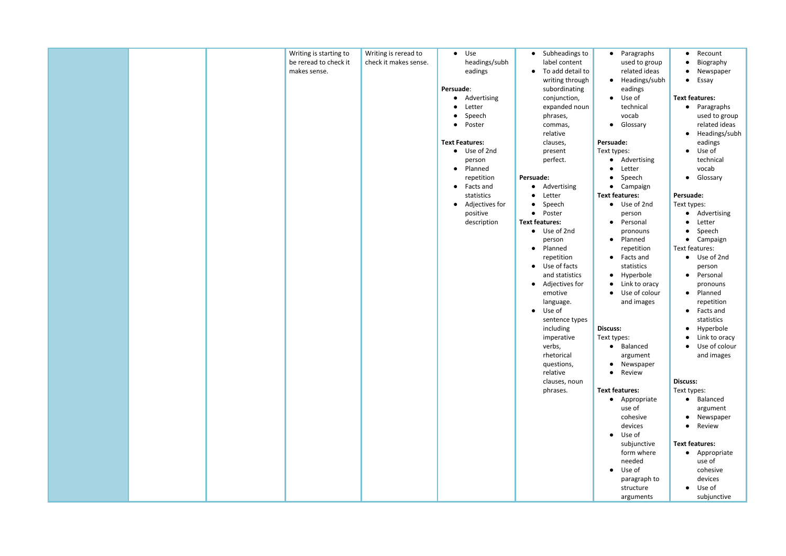|  | Writing is starting to | Writing is reread to  | Use<br>$\bullet$            | Subheadings to<br>$\bullet$   |
|--|------------------------|-----------------------|-----------------------------|-------------------------------|
|  | be reread to check it  | check it makes sense. | headings/subh               | label content                 |
|  | makes sense.           |                       | eadings                     | To add detail to<br>$\bullet$ |
|  |                        |                       |                             | writing through               |
|  |                        |                       | Persuade:                   | subordinating                 |
|  |                        |                       | Advertising<br>$\bullet$    | conjunction,                  |
|  |                        |                       | Letter                      | expanded noun                 |
|  |                        |                       | Speech                      | phrases,                      |
|  |                        |                       | Poster<br>$\bullet$         | commas,                       |
|  |                        |                       |                             | relative                      |
|  |                        |                       | <b>Text Features:</b>       | clauses,                      |
|  |                        |                       | • Use of 2nd                | present                       |
|  |                        |                       | person                      | perfect.                      |
|  |                        |                       | Planned<br>$\bullet$        |                               |
|  |                        |                       | repetition                  | Persuade:                     |
|  |                        |                       | Facts and<br>$\bullet$      | • Advertising                 |
|  |                        |                       | statistics                  | Letter<br>$\bullet$           |
|  |                        |                       | Adjectives for<br>$\bullet$ | Speech<br>$\bullet$           |
|  |                        |                       | positive                    | • Poster                      |
|  |                        |                       | description                 | <b>Text features:</b>         |
|  |                        |                       |                             | • Use of 2nd                  |
|  |                        |                       |                             | person                        |
|  |                        |                       |                             | • Planned                     |
|  |                        |                       |                             | repetition                    |
|  |                        |                       |                             | • Use of facts                |
|  |                        |                       |                             | and statistics                |
|  |                        |                       |                             | Adjectives for<br>$\bullet$   |
|  |                        |                       |                             | emotive                       |
|  |                        |                       |                             | language.<br>Use of           |
|  |                        |                       |                             | $\bullet$                     |
|  |                        |                       |                             | sentence types                |
|  |                        |                       |                             | including                     |
|  |                        |                       |                             | imperative                    |
|  |                        |                       |                             | verbs,<br>rhetorical          |
|  |                        |                       |                             |                               |
|  |                        |                       |                             | questions,<br>relative        |
|  |                        |                       |                             | clauses, noun                 |
|  |                        |                       |                             | phrases.                      |
|  |                        |                       |                             |                               |
|  |                        |                       |                             |                               |
|  |                        |                       |                             |                               |
|  |                        |                       |                             |                               |
|  |                        |                       |                             |                               |
|  |                        |                       |                             |                               |
|  |                        |                       |                             |                               |
|  |                        |                       |                             |                               |
|  |                        |                       |                             |                               |
|  |                        |                       |                             |                               |
|  |                        |                       |                             |                               |
|  |                        |                       |                             |                               |

- Paragraphs used to group related ideas
- Headings/subh eadings
- Use of technical vocab
- Glossary

## **Persuade:**

Text types:

- Advertising
- Letter
- Speech
- Campaign
- **Text features:**
	- Use of 2nd person
	- Personal pronouns
	- Planned repetition
	- Facts and statistics
	- Hyperbole
	- Link to oracy
	- Use of colour and images

## **Discuss:**

Text types:

- Balanced argument
- Newspaper
- Review

## **Text features:**

- Appropriate use of cohesive devices
- Use of subjunctive form where needed
- Use of paragraph to structure arguments
- Recount
- Biography
- Newspaper
- Essay

## **Text features:**

- Paragraphs used to group related ideas
- Headings/subh eadings
- Use of technical vocab
- Glossary

## **Persuade:**

- Text types:
	- Advertising
	- Letter
	- Speech
	- Campaign

## Text features:

- Use of 2nd person
- Personal pronouns
- Planned repetition
- Facts and statistics
- Hyperbole
- Link to oracy
- Use of colour and images

## **Discuss:**

## Text types:

- Balanced
- argument
- Newspaper
- Review

## **Text features:**

- Appropriate use of cohesive devices
- Use of
	- subjunctive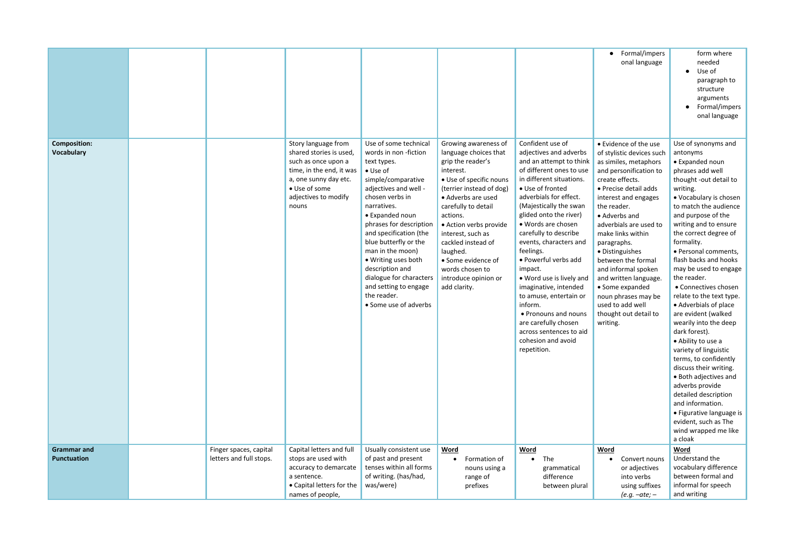|                                          |                                                   |                                                                                                                                                                              |                                                                                                                                                                                                                                                                                                                                                                                                                              |                                                                                                                                                                                                                                                                                                                                                                   |                                                                                                                                                                                                                                                                                                                                                                                                                                                                                                                                                                    | Formal/impers<br>$\bullet$<br>onal language                                                                                                                                                                                                                                                                                                                                                                                                                         | form where<br>needed<br>Use of<br>paragraph to<br>structure<br>arguments<br>• Formal/impers<br>onal language                                                                                                                                                                                                                                                                                                                                                                                                                                                                                                                                                                                                                                                                  |
|------------------------------------------|---------------------------------------------------|------------------------------------------------------------------------------------------------------------------------------------------------------------------------------|------------------------------------------------------------------------------------------------------------------------------------------------------------------------------------------------------------------------------------------------------------------------------------------------------------------------------------------------------------------------------------------------------------------------------|-------------------------------------------------------------------------------------------------------------------------------------------------------------------------------------------------------------------------------------------------------------------------------------------------------------------------------------------------------------------|--------------------------------------------------------------------------------------------------------------------------------------------------------------------------------------------------------------------------------------------------------------------------------------------------------------------------------------------------------------------------------------------------------------------------------------------------------------------------------------------------------------------------------------------------------------------|---------------------------------------------------------------------------------------------------------------------------------------------------------------------------------------------------------------------------------------------------------------------------------------------------------------------------------------------------------------------------------------------------------------------------------------------------------------------|-------------------------------------------------------------------------------------------------------------------------------------------------------------------------------------------------------------------------------------------------------------------------------------------------------------------------------------------------------------------------------------------------------------------------------------------------------------------------------------------------------------------------------------------------------------------------------------------------------------------------------------------------------------------------------------------------------------------------------------------------------------------------------|
| <b>Composition:</b><br><b>Vocabulary</b> |                                                   | Story language from<br>shared stories is used,<br>such as once upon a<br>time, in the end, it was<br>a, one sunny day etc.<br>• Use of some<br>adjectives to modify<br>nouns | Use of some technical<br>words in non-fiction<br>text types.<br>$\bullet$ Use of<br>simple/comparative<br>adjectives and well -<br>chosen verbs in<br>narratives.<br>• Expanded noun<br>phrases for description<br>and specification (the<br>blue butterfly or the<br>man in the moon)<br>• Writing uses both<br>description and<br>dialogue for characters<br>and setting to engage<br>the reader.<br>• Some use of adverbs | Growing awareness of<br>language choices that<br>grip the reader's<br>interest.<br>· Use of specific nouns<br>(terrier instead of dog)<br>• Adverbs are used<br>carefully to detail<br>actions.<br>• Action verbs provide<br>interest, such as<br>cackled instead of<br>laughed.<br>• Some evidence of<br>words chosen to<br>introduce opinion or<br>add clarity. | Confident use of<br>adjectives and adverbs<br>and an attempt to think<br>of different ones to use<br>in different situations.<br>• Use of fronted<br>adverbials for effect.<br>(Majestically the swan<br>glided onto the river)<br>• Words are chosen<br>carefully to describe<br>events, characters and<br>feelings.<br>• Powerful verbs add<br>impact.<br>• Word use is lively and<br>imaginative, intended<br>to amuse, entertain or<br>inform.<br>• Pronouns and nouns<br>are carefully chosen<br>across sentences to aid<br>cohesion and avoid<br>repetition. | • Evidence of the use<br>of stylistic devices such<br>as similes, metaphors<br>and personification to<br>create effects.<br>• Precise detail adds<br>interest and engages<br>the reader.<br>• Adverbs and<br>adverbials are used to<br>make links within<br>paragraphs.<br>• Distinguishes<br>between the formal<br>and informal spoken<br>and written language.<br>• Some expanded<br>noun phrases may be<br>used to add well<br>thought out detail to<br>writing. | Use of synonyms and<br>antonyms<br>• Expanded noun<br>phrases add well<br>thought -out detail to<br>writing.<br>• Vocabulary is chosen<br>to match the audience<br>and purpose of the<br>writing and to ensure<br>the correct degree of<br>formality.<br>· Personal comments,<br>flash backs and hooks<br>may be used to engage<br>the reader.<br>• Connectives chosen<br>relate to the text type.<br>• Adverbials of place<br>are evident (walked<br>wearily into the deep<br>dark forest).<br>• Ability to use a<br>variety of linguistic<br>terms, to confidently<br>discuss their writing.<br>• Both adjectives and<br>adverbs provide<br>detailed description<br>and information.<br>• Figurative language is<br>evident, such as The<br>wind wrapped me like<br>a cloak |
| <b>Grammar and</b><br><b>Punctuation</b> | Finger spaces, capital<br>letters and full stops. | Capital letters and full<br>stops are used with<br>accuracy to demarcate<br>a sentence.<br>• Capital letters for the<br>names of people,                                     | Usually consistent use<br>of past and present<br>tenses within all forms<br>of writing. (has/had,<br>was/were)                                                                                                                                                                                                                                                                                                               | Word<br>Formation of<br>nouns using a<br>range of<br>prefixes                                                                                                                                                                                                                                                                                                     | Word<br>The<br>grammatical<br>difference<br>between plural                                                                                                                                                                                                                                                                                                                                                                                                                                                                                                         | Word<br>Convert nouns<br>or adjectives<br>into verbs<br>using suffixes<br>$(e.g. -ate)$ –                                                                                                                                                                                                                                                                                                                                                                           | Word<br>Understand the<br>vocabulary difference<br>between formal and<br>informal for speech<br>and writing                                                                                                                                                                                                                                                                                                                                                                                                                                                                                                                                                                                                                                                                   |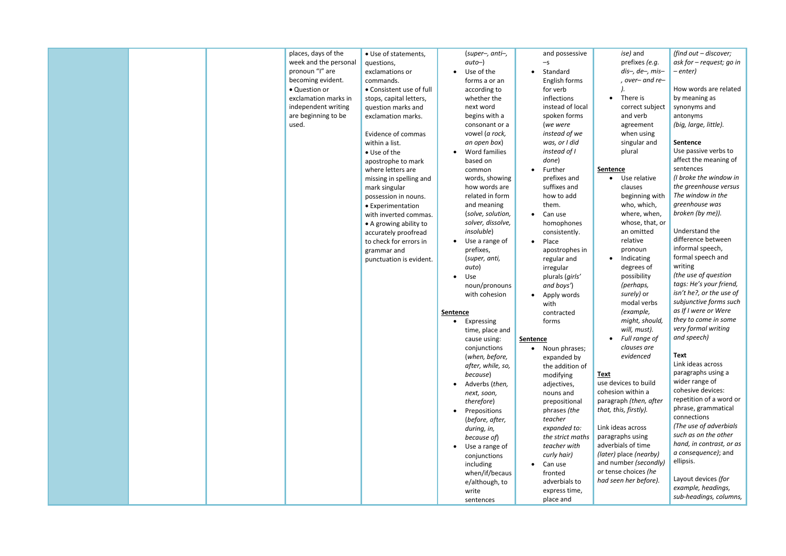*ise)* and prefixes *(e.g. dis–, de–, mis– , over– and re– ).*

• There is correct subject and verb agreement when using singular and plural

## **Sentence**

- Use relative clauses beginning with who, which, where, when, whose, that, or an omitted relative pronoun
- Indicating degrees of possibility *(perhaps, surely)* or modal verbs *(example, might, should, will, must).*
- *Full range of clauses are evidenced*

## **Text**

use devices to build cohesion within a paragraph *(then, after that, this, firstly).*

Link ideas across paragraphs using adverbials of time *(later)* place *(nearby)* and number *(secondly)* or tense choices *(he had seen her before).*

*(find out – discover; ask for – request; go in – enter)*

How words are related by meaning as synonyms and antonyms *(big, large, little).*

#### **Sentence**

Use passive verbs to affect the meaning of sentences *(I broke the window in the greenhouse versus The window in the greenhouse was broken (by me)).* 

Understand the difference between informal speech, formal speech and writing *(the use of question tags: He's your friend, isn't he?, or the use of subjunctive forms such* 

*as If I were or Were they to come in some very formal writing and speech)*

## **Text**

Link ideas across paragraphs using a wider range of cohesive devices: repetition of a word or phrase, grammatical connections *(The use of adverbials such as on the other hand, in contrast, or as a consequence)*; and ellipsis.

Layout devices *(for example, headings, sub-headings, columns,*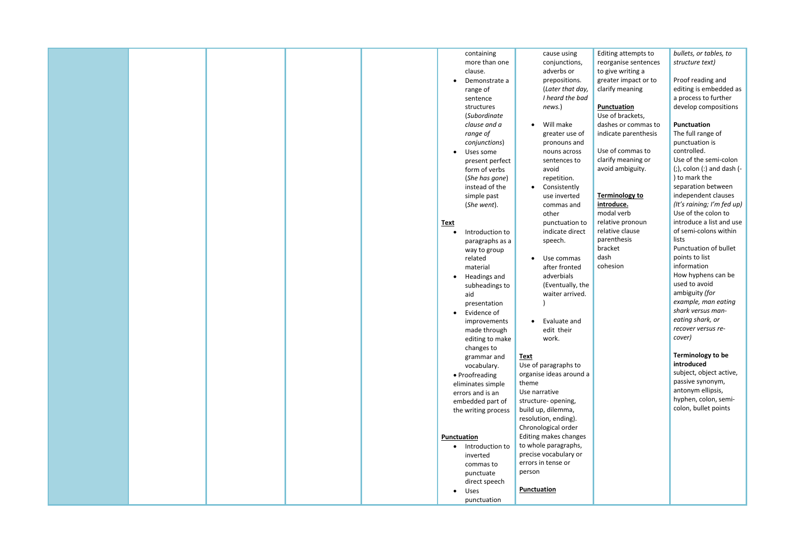|  |  | containing                   | cause using               |
|--|--|------------------------------|---------------------------|
|  |  | more than one                | conjunctions,             |
|  |  | clause.                      | adverbs or                |
|  |  | Demonstrate a                | prepositions.             |
|  |  | range of                     | (Later that day,          |
|  |  | sentence                     | I heard the bad           |
|  |  | structures                   | news.)                    |
|  |  | (Subordinate                 |                           |
|  |  | clause and a                 | Will make<br>$\bullet$    |
|  |  | range of                     | greater use of            |
|  |  | conjunctions)                | pronouns and              |
|  |  | Uses some                    | nouns across              |
|  |  | present perfect              | sentences to              |
|  |  | form of verbs                | avoid                     |
|  |  | (She has gone)               | repetition.               |
|  |  | instead of the               | Consistently<br>$\bullet$ |
|  |  | simple past                  | use inverted              |
|  |  | (She went).                  | commas and                |
|  |  |                              | other                     |
|  |  | <b>Text</b>                  | punctuation to            |
|  |  | Introduction to              | indicate direct           |
|  |  |                              | speech.                   |
|  |  | paragraphs as a              |                           |
|  |  | way to group<br>related      | Use commas                |
|  |  |                              | $\bullet$                 |
|  |  | material                     | after fronted             |
|  |  | Headings and                 | adverbials                |
|  |  | subheadings to               | (Eventually, the          |
|  |  | aid                          | waiter arrived.           |
|  |  | presentation                 |                           |
|  |  | Evidence of<br>$\bullet$     |                           |
|  |  | improvements                 | Evaluate and<br>$\bullet$ |
|  |  | made through                 | edit their                |
|  |  | editing to make              | work.                     |
|  |  | changes to                   |                           |
|  |  | grammar and                  | <b>Text</b>               |
|  |  | vocabulary.                  | Use of paragraphs to      |
|  |  | • Proofreading               | organise ideas around a   |
|  |  | eliminates simple            | theme                     |
|  |  | errors and is an             | Use narrative             |
|  |  | embedded part of             | structure- opening,       |
|  |  | the writing process          | build up, dilemma,        |
|  |  |                              | resolution, ending).      |
|  |  |                              | Chronological order       |
|  |  | Punctuation                  | Editing makes changes     |
|  |  | Introduction to<br>$\bullet$ | to whole paragraphs,      |
|  |  | inverted                     | precise vocabulary or     |
|  |  | commas to                    | errors in tense or        |
|  |  | punctuate                    | person                    |
|  |  | direct speech                |                           |
|  |  | Uses<br>$\bullet$            | <b>Punctuation</b>        |
|  |  | punctuation                  |                           |

Editing attempts to reorganise sentences to give writing a greater impact or to clarify meaning

#### **Punctuation**

Use of brackets, dashes or commas to indicate parenthesis

Use of commas to clarify meaning or avoid ambiguity.

## **Terminology to**

**introduce.** modal verb relative pronoun relative clause parenthesis bracket dash cohesion

*bullets, or tables, to structure text)*

Proof reading and editing is embedded as a process to further develop compositions

#### **Punctuation**

The full range of punctuation is controlled. Use of the semi-colon (;), colon (:) and dash (- ) to mark the separation between independent clauses *(It's raining; I'm fed up)* Use of the colon to introduce a list and use of semi-colons within lists Punctuation of bullet points to list information How hyphens can be used to avoid ambiguity *(for example, man eating shark versus man-*

*eating shark, or recover versus recover)*

#### **Terminology to be introduced**

subject, object active, passive synonym, antonym ellipsis, hyphen, colon, semicolon, bullet points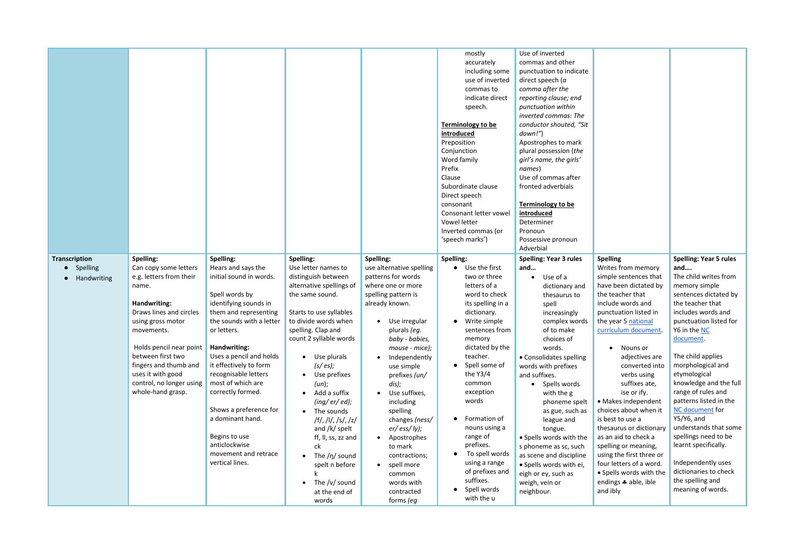|                                  |                                                                                                                                                                                                                                                               |                                                                                                                                                                                                                                                                                                                                                                                                          |                                                                                                                                                                                                                                                                                                                                                                                                                                                                      |                                                                                                                                                                                                                                                                                                                                                                                                                                                  | mostly<br>accurately<br>including some<br>use of inverted<br>commas to<br>indicate direct<br>speech.<br><b>Terminology to be</b><br>introduced<br>Preposition<br>Conjunction<br>Word family<br>Prefix<br>Clause<br>Subordinate clause<br>Direct speech<br>consonant<br>Consonant letter vowel<br>Vowel letter<br>Inverted commas (or<br>'speech marks')                               | Use of inverted<br>commas and other<br>punctuation to indicate<br>direct speech (a<br>comma after the<br>reporting clause; end<br>punctuation within<br>inverted commas: The<br>conductor shouted, "Sit<br>down!")<br>Apostrophes to mark<br>plural possession (the<br>girl's name, the girls'<br>names)<br>Use of commas after<br>fronted adverbials<br><b>Terminology to be</b><br>introduced<br>Determiner<br>Pronoun<br>Possessive pronoun<br>Adverbial |
|----------------------------------|---------------------------------------------------------------------------------------------------------------------------------------------------------------------------------------------------------------------------------------------------------------|----------------------------------------------------------------------------------------------------------------------------------------------------------------------------------------------------------------------------------------------------------------------------------------------------------------------------------------------------------------------------------------------------------|----------------------------------------------------------------------------------------------------------------------------------------------------------------------------------------------------------------------------------------------------------------------------------------------------------------------------------------------------------------------------------------------------------------------------------------------------------------------|--------------------------------------------------------------------------------------------------------------------------------------------------------------------------------------------------------------------------------------------------------------------------------------------------------------------------------------------------------------------------------------------------------------------------------------------------|---------------------------------------------------------------------------------------------------------------------------------------------------------------------------------------------------------------------------------------------------------------------------------------------------------------------------------------------------------------------------------------|-------------------------------------------------------------------------------------------------------------------------------------------------------------------------------------------------------------------------------------------------------------------------------------------------------------------------------------------------------------------------------------------------------------------------------------------------------------|
| <b>Transcription</b><br>Spelling | Spelling:<br>Can copy some letters                                                                                                                                                                                                                            | Spelling:<br>Hears and says the                                                                                                                                                                                                                                                                                                                                                                          | <b>Spelling:</b><br>Use letter names to                                                                                                                                                                                                                                                                                                                                                                                                                              | Spelling:<br>use alternative spelling                                                                                                                                                                                                                                                                                                                                                                                                            | Spelling:<br>Use the first<br>$\bullet$                                                                                                                                                                                                                                                                                                                                               | <b>Spelling: Year 3 rules</b><br>and                                                                                                                                                                                                                                                                                                                                                                                                                        |
| Handwriting                      | e.g. letters from their<br>name.<br>Handwriting:<br>Draws lines and circles<br>using gross motor<br>movements.<br>Holds pencil near point<br>between first two<br>fingers and thumb and<br>uses it with good<br>control, no longer using<br>whole-hand grasp. | initial sound in words.<br>Spell words by<br>identifying sounds in<br>them and representing<br>the sounds with a letter<br>or letters.<br>Handwriting:<br>Uses a pencil and holds<br>it effectively to form<br>recognisable letters<br>most of which are<br>correctly formed.<br>Shows a preference for<br>a dominant hand.<br>Begins to use<br>anticlockwise<br>movement and retrace<br>vertical lines. | distinguish between<br>alternative spellings of<br>the same sound.<br>Starts to use syllables<br>to divide words when<br>spelling. Clap and<br>count 2 syllable words<br>Use plurals<br>$\bullet$<br>(s <sub>/</sub> es);<br>Use prefixes<br>(un);<br>Add a suffix<br>(ing/er/ed);<br>The sounds<br> f ,  1 ,  s ,  z <br>and /k/ spelt<br>ff, II, ss, zz and<br>ck<br>The $/\eta$ sound<br>spelt n before<br>The $/v/$ sound<br>$\bullet$<br>at the end of<br>words | patterns for words<br>where one or more<br>spelling pattern is<br>already known.<br>Use irregular<br>plurals (eg.<br>baby - babies,<br>mouse - mice);<br>Independently<br>$\bullet$<br>use simple<br>prefixes (un/<br>dis);<br>Use suffixes,<br>including<br>spelling<br>changes (ness/<br>$er/$ ess/ ly);<br>Apostrophes<br>$\bullet$<br>to mark<br>contractions;<br>spell more<br>$\bullet$<br>common<br>words with<br>contracted<br>forms (eg | two or three<br>letters of a<br>word to check<br>its spelling in a<br>dictionary.<br>Write simple<br>sentences from<br>memory<br>dictated by the<br>teacher.<br>Spell some of<br>the $Y3/4$<br>common<br>exception<br>words<br>Formation of<br>nouns using a<br>range of<br>prefixes.<br>To spell words<br>using a range<br>of prefixes and<br>suffixes.<br>Spell words<br>with the u | Use of a<br>dictionary and<br>thesaurus to<br>spell<br>increasingly<br>complex words<br>of to make<br>choices of<br>words.<br>• Consolidates spelling<br>words with prefixes<br>and suffixes.<br>Spells words<br>with the g<br>phoneme spelt<br>as gue, such as<br>league and<br>tongue.<br>• Spells words with the<br>s phoneme as sc, such<br>as scene and discipline<br>· Spells words with ei,<br>eigh or ey, such as<br>weigh, vein or<br>neighbour.   |

#### **Spelling**

Writes from memory simple sentences that have been dictated by the teacher that include words and punctuation listed in the year 5 national curriculum document.

> • Nouns or adjectives are converted into verbs using suffixes ate, ise or ify.

• Makes independent choices about when it is best to use a thesaurus or dictionary as an aid to check a spelling or meaning, using the first three or four letters of a word. • Spells words with the endings  $\clubsuit$  able, ible and ibly

#### **Spelling: Year 5 rules and….**

The child writes from memory simple sentences dictated by the teacher that includes words and punctuation listed for Y6 in the NC document.

The child applies morphological and etymological knowledge and the full range of rules and patterns listed in the NC document for Y5/Y6, and

understands that some spellings need to be learnt specifically.

Independently uses dictionaries to check the spelling and meaning of words.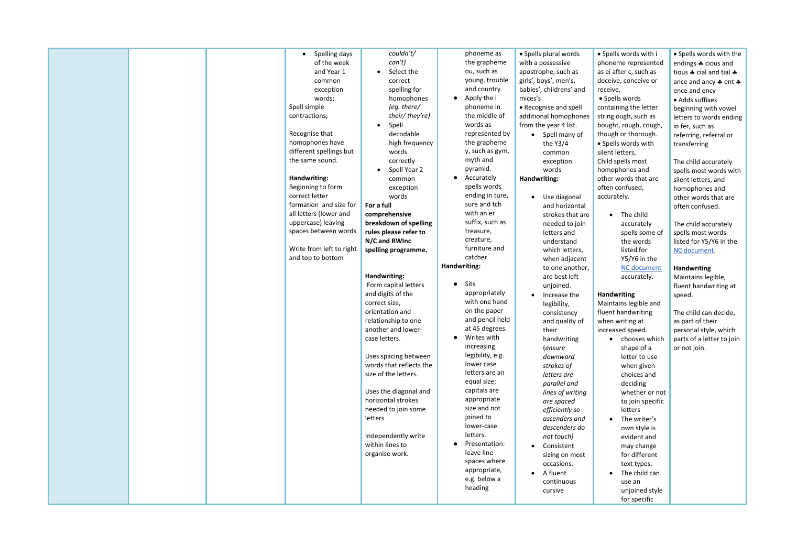|  | Spelling days<br>$\bullet$ | couldn't/<br>can't)                  | phoneme as<br>the grapheme | • Spells plural words            |
|--|----------------------------|--------------------------------------|----------------------------|----------------------------------|
|  | of the week                |                                      |                            | with a possessive                |
|  | and Year 1                 | Select the                           | ou, such as                | apostrophe, such as              |
|  | common                     | correct                              | young, trouble             | girls', boys', men's,            |
|  | exception                  | spelling for                         | and country.               | babies', childrens' and          |
|  | words;                     | homophones                           | Apply the i                | mices's                          |
|  | Spell simple               | (eg. there/                          | phoneme in                 | • Recognise and spell            |
|  | contractions;              | their/they're)                       | the middle of              | additional homophones            |
|  |                            | Spell<br>$\bullet$                   | words as                   | from the year 4 list.            |
|  | Recognise that             | decodable                            | represented by             | • Spell many of                  |
|  | homophones have            | high frequency                       | the grapheme               | the $Y3/4$                       |
|  | different spellings but    | words                                | y, such as gym,            | common                           |
|  | the same sound.            | correctly                            | myth and                   | exception                        |
|  |                            | Spell Year 2                         | pyramid.                   | words                            |
|  | Handwriting:               | common                               | Accurately                 | Handwriting:                     |
|  | Beginning to form          | exception                            | spells words               |                                  |
|  | correct letter             | words                                | ending in ture,            | Use diagonal<br>$\bullet$        |
|  | formation and size for     | For a full                           | sure and tch               | and horizontal                   |
|  | all letters (lower and     | comprehensive                        | with an er                 | strokes that are                 |
|  | uppercase) leaving         | breakdown of spelling                | suffix, such as            | needed to join                   |
|  | spaces between words       | rules please refer to                | treasure,                  | letters and                      |
|  |                            | N/C and RWInc                        | creature,                  | understand                       |
|  | Write from left to right   | spelling programme.                  | furniture and              | which letters,                   |
|  | and top to bottom          |                                      | catcher                    | when adjacent                    |
|  |                            |                                      | Handwriting:               | to one another, $ $              |
|  |                            |                                      |                            |                                  |
|  |                            |                                      |                            |                                  |
|  |                            | Handwriting:<br>Form capital letters | Sits                       | are best left                    |
|  |                            |                                      | appropriately              | unjoined.<br>$\bullet$           |
|  |                            | and digits of the<br>correct size,   | with one hand              | Increase the                     |
|  |                            | orientation and                      | on the paper               | legibility,                      |
|  |                            | relationship to one                  | and pencil held            | consistency                      |
|  |                            | another and lower-                   | at 45 degrees.             | and quality of<br>their          |
|  |                            | case letters.                        | Writes with                |                                  |
|  |                            |                                      | increasing                 | handwriting                      |
|  |                            | Uses spacing between                 | legibility, e.g.           | (ensure<br>downward              |
|  |                            | words that reflects the              | lower case                 | strokes of                       |
|  |                            | size of the letters.                 | letters are an             | letters are                      |
|  |                            |                                      | equal size;                |                                  |
|  |                            | Uses the diagonal and                | capitals are               | parallel and<br>lines of writing |
|  |                            | horizontal strokes                   | appropriate                | are spaced                       |
|  |                            | needed to join some                  | size and not               | efficiently so                   |
|  |                            | letters                              | joined to                  | ascenders and                    |
|  |                            |                                      | lower-case                 | descenders do                    |
|  |                            | Independently write                  | letters.                   | not touch)                       |
|  |                            | within lines to                      | Presentation:              | Consistent<br>$\bullet$          |
|  |                            | organise work.                       | leave line                 |                                  |
|  |                            |                                      | spaces where               | sizing on most                   |
|  |                            |                                      | appropriate,               | occasions.<br>$\bullet$          |
|  |                            |                                      | e.g. below a               | A fluent                         |
|  |                            |                                      | heading                    | continuous<br>cursive            |

• Spells words with i phoneme represented as ei after c, such as deceive, conceive or receive.

• Spells words containing the letter string ough, such as bought, rough, cough, though or thorough. • Spells words with silent letters, Child spells most homophones and other words that are often confused, accurately.

> • The child accurately spells some of the words listed for Y5/Y6 in the NC document accurately.

#### **Handwriting**

Maintains legible and fluent handwriting when writing at increased speed.

- chooses which shape of a letter to use when given choices and deciding whether or not to join specific letters
- The writer's own style is evident and may change for different text types.
- The child can use an unjoined style for specific

• Spells words with the endings  $\clubsuit$  cious and tious  $\clubsuit$  cial and tial  $\clubsuit$ ance and ancy  $\clubsuit$  ent  $\clubsuit$ ence and ency • Adds suffixes beginning with vowel letters to words ending in fer, such as referring, referral or transferring

The child accurately spells most words with silent letters, and homophones and other words that are often confused.

The child accurately spells most words listed for Y5/Y6 in the NC document.

#### **Handwriting**

Maintains legible, fluent handwriting at speed.

The child can decide, as part of their personal style, which parts of a letter to join or not join.